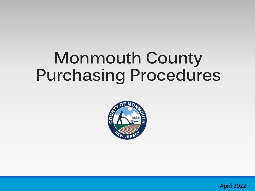## **Monmouth County Purchasing Procedures**



April 2022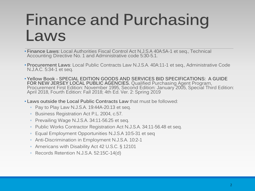## **Finance and Purchasing Laws**

- **Finance Laws**: Local Authorities Fiscal Control Act N.J.S.A 40A:5A-1 et seq., Technical Accounting Directive No. 1 and Administrative code 5:30-5.1.
- **Procurement Laws**: Local Public Contracts Law N.J.S.A. 40A:11-1 et seq., Administrative Code N.J.A.C. 5:34-1 et seq.
- **Yellow Book - SPECIAL EDITION GOODS AND SERVICES BID SPECIFICATIONS: A GUIDE FOR NEW JERSEY LOCAL PUBLIC AGENCIES.** Qualified Purchasing Agent Program, Procurement First Edition: November 1995, Second Edition: January 2005, Special Third Edition: April 2018, Fourth Edition: Fall 2018; 4th Ed. Ver. 2: Spring 2019
- **Laws outside the Local Public Contracts Law** that must be followed:
	- Pay to Play Law N.J.S.A. 19:44A-20.13 et seq.
	- Business Registration Act P.L. 2004, c.57.
	- Prevailing Wage N.J.S.A. 34:11-56.25 et seq.
	- Public Works Contractor Registration Act N.J.S.A. 34:11-56.48 et seq.
	- Equal Employment Opportunities N.J.S.A 10:5-31 et seq
	- Anti-Discrimination in Employment N.J.S.A. 10:2-1
	- Americans with Disability Act 42 U.S.C. § 12101
	- Records Retention N.J.S.A. 52:15C-14(d)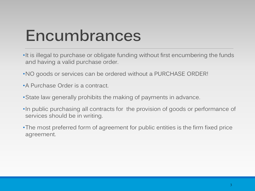## **Encumbrances**

- •It is illegal to purchase or obligate funding without first encumbering the funds and having a valid purchase order.
- •NO goods or services can be ordered without a PURCHASE ORDER!
- •A Purchase Order is a contract.
- •State law generally prohibits the making of payments in advance.
- •In public purchasing all contracts for the provision of goods or performance of services should be in writing.
- •The most preferred form of agreement for public entities is the firm fixed price agreement.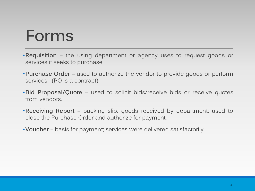### **Forms**

- •**Requisition** the using department or agency uses to request goods or services it seeks to purchase
- •**Purchase Order** used to authorize the vendor to provide goods or perform services. (PO is a contract)
- •**Bid Proposal/Quote** used to solicit bids/receive bids or receive quotes from vendors.
- •**Receiving Report** packing slip, goods received by department; used to close the Purchase Order and authorize for payment.
- •**Voucher** basis for payment; services were delivered satisfactorily.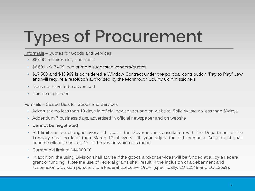# **Types of Procurement**

**Informals** – Quotes for Goods and Services

- \$6,600 requires only one quote
- \$6,601 \$17,499 two or more suggested vendors/quotes
- \$17,500 and \$43,999 is considered a Window Contract under the political contribution "Pay to Play" Law and will require a resolution authorized by the Monmouth County Commissioners
- Does not have to be advertised
- Can be negotiated

**Formals** – Sealed Bids for Goods and Services

- Advertised no less than 10 days in official newspaper and on website. Solid Waste no less than 60days.
- Addendum 7 business days, advertised in official newspaper and on website
- **Cannot be negotiated**
- Bid limit can be changed every fifth year the Governor, in consultation with the Department of the Treasury shall no later than March 1<sup>st</sup> of every fifth year adjust the bid threshold. Adjustment shall become effective on July  $1<sup>st</sup>$  of the year in which it is made.
- Current bid limit of \$44,000.00
- In addition, the using Division shall advise if the goods and/or services will be funded at all by a Federal grant or funding. Note the use of Federal grants shall result in the inclusion of a debarment and suspension provision pursuant to a Federal Executive Order (specifically, EO 12549 and EO 12689).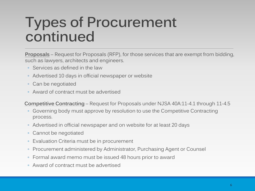### **Types of Procurement continued**

**Proposals** – Request for Proposals (RFP), for those services that are exempt from bidding, such as lawyers, architects and engineers.

- Services as defined in the law
- Advertised 10 days in official newspaper or website
- Can be negotiated
- Award of contract must be advertised

**Competitive Contracting** – Request for Proposals under NJSA 40A:11-4.1 through 11-4.5

- Governing body must approve by resolution to use the Competitive Contracting process.
- Advertised in official newspaper and on website for at least 20 days
- Cannot be negotiated
- Evaluation Criteria must be in procurement
- Procurement administered by Administrator, Purchasing Agent or Counsel
- Formal award memo must be issued 48 hours prior to award
- Award of contract must be advertised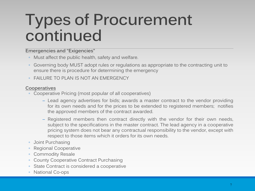## **Types of Procurement continued**

#### **Emergencies and "Exigencies"**

- Must affect the public health, safety and welfare.
- Governing body MUST adopt rules or regulations as appropriate to the contracting unit to ensure there is procedure for determining the emergency
- FAILURE TO PLAN IS NOT AN EMERGENCY

#### **Cooperatives**

- Cooperative Pricing (most popular of all cooperatives)
	- ─ Lead agency advertises for bids; awards a master contract to the vendor providing for its own needs and for the prices to be extended to registered members; notifies the approved members of the contract awarded.
	- ─ Registered members then contract directly with the vendor for their own needs, subject to the specifications in the master contract. The lead agency in a cooperative pricing system does not bear any contractual responsibility to the vendor, except with respect to those items which it orders for its own needs.
- Joint Purchasing
- Regional Cooperative
- Commodity Resale
- County Cooperative Contract Purchasing
- State Contract is considered a cooperative
- National Co-ops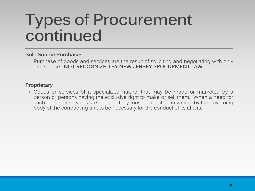## **Types of Procurement continued**

#### **Sole Source Purchases**

◦ Purchase of goods and services are the result of soliciting and negotiating with only one source. **NOT RECOGNIZED BY NEW JERSEY PROCURMENT LAW**

#### **Proprietary**

◦ Goods or services of a specialized nature, that may be made or marketed by a person or persons having the exclusive right to make or sell them. When a need for such goods or services are needed, they must be certified in writing by the governing body of the contracting unit to be necessary for the conduct of its affairs.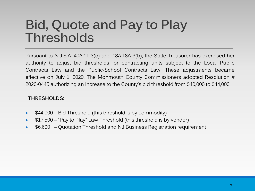#### **Bid, Quote and Pay to Play Thresholds**

Pursuant to N.J.S.A. 40A:11-3(c) and 18A:18A-3(b), the State Treasurer has exercised her authority to adjust bid thresholds for contracting units subject to the Local Public Contracts Law and the Public-School Contracts Law. These adjustments became effective on July 1, 2020. The Monmouth County Commissioners adopted Resolution # 2020-0445 authorizing an increase to the County's bid threshold from \$40,000 to \$44,000.

#### **THRESHOLDS:**

- \$44,000 Bid Threshold (this threshold is by commodity)
- \$17,500 "Pay to Play" Law Threshold (this threshold is by vendor)
- \$6,600 Quotation Threshold and NJ Business Registration requirement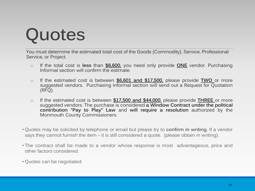# **Quotes**

You must determine the estimated total cost of the Goods (Commodity), Service, Professional Service, or Project.

- o If the total cost is **less** than **\$6,600,** you need only provide **ONE** vendor. Purchasing Informal section will confirm the estimate.
- o If the estimated cost is between **\$6,601 and \$17,500,** please provide **TWO** or more suggested vendors. Purchasing Informal section will send out a Request for Quotation (RFQ).
- o If the estimated cost is between **\$17,500 and \$44,000**, please provide **THREE** or more suggested vendors. The purchase is considered **a Window Contract under the political contribution "Pay to Play" Law** and **will require a resolution** authorized by the Monmouth County Commissioners.
- Quotes may be solicited by telephone or email but please try to **confirm in writing.** If a vendor says they cannot furnish the item – it is still considered a quote. (please obtain in writing).
- The contract shall be made to a vendor whose response is most advantageous, price and other factors considered.
- Quotes can be negotiated.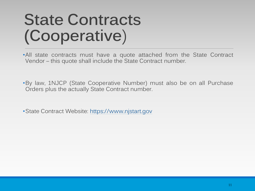## **State Contracts (Cooperative**)

•All state contracts must have a quote attached from the State Contract Vendor – this quote shall include the State Contract number.

•By law, 1NJCP (State Cooperative Number) must also be on all Purchase Orders plus the actually State Contract number.

•State Contract Website: https://www.njstart.gov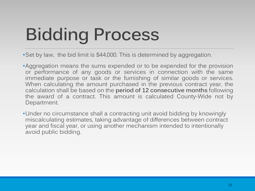# **Bidding Process**

•Set by law, the bid limit is \$44,000. This is determined by aggregation.

•Aggregation means the sums expended or to be expended for the provision or performance of any goods or services in connection with the same immediate purpose or task or the furnishing of similar goods or services. When calculating the amount purchased in the previous contract year, the calculation shall be based on the **period of 12 consecutive months** following the award of a contract. This amount is calculated County-Wide not by Department.

•Under no circumstance shall a contracting unit avoid bidding by knowingly miscalculating estimates, taking advantage of differences between contract year and fiscal year, or using another mechanism intended to intentionally avoid public bidding.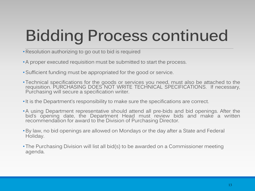## **Bidding Process continued**

- •Resolution authorizing to go out to bid is required
- A proper executed requisition must be submitted to start the process.
- •Sufficient funding must be appropriated for the good or service.
- Technical specifications for the goods or services you need, must also be attached to the requisition. PURCHASING DOES NOT WRITE TECHNICAL SPECIFICATIONS. If necessary,<br>Purchasing will secure a specification writer.
- •It is the Department's responsibility to make sure the specifications are correct.
- A using Department representative should attend all pre-bids and bid openings. After the bid's opening date, the Department Head must review bids and make a written recommendation for award to the Division of Purchasing Director.
- •By law, no bid openings are allowed on Mondays or the day after a State and Federal Holiday.
- The Purchasing Division will list all bid(s) to be awarded on a Commissioner meeting agenda.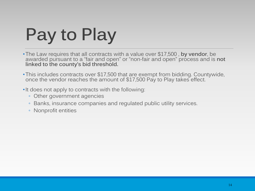# **Pay to Play**

- •The Law requires that all contracts with a value over \$17,500 , **by vendor**, be awarded pursuant to a "fair and open" or "non-fair and open" process and is **not linked to the county's bid threshold.**
- •This includes contracts over \$17,500 that are exempt from bidding. Countywide, once the vendor reaches the amount of \$17,500 Pay to Play takes effect.
- •It does not apply to contracts with the following:
	- Other government agencies
	- Banks, insurance companies and regulated public utility services.
	- Nonprofit entities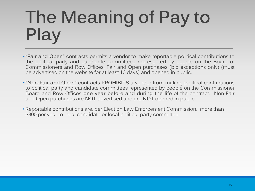## **The Meaning of Pay to Play**

- •**"Fair and Open"** contracts permits a vendor to make reportable political contributions to the political party and candidate committees represented by people on the Board of Commissioners and Row Offices. Fair and Open purchases (bid exceptions only) (must be advertised on the website for at least 10 days) and opened in public.
- •**"Non-Fair and Open"** contracts **PROHIBITS** a vendor from making political contributions to political party and candidate committees represented by people on the Commissioner Board and Row Offices **one year before and during the life** of the contract. Non-Fair and Open purchases are **NOT** advertised and are **NOT** opened in public.
- •Reportable contributions are, per Election Law Enforcement Commission, more than \$300 per year to local candidate or local political party committee.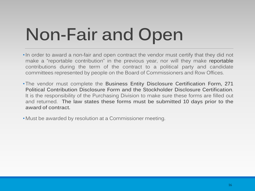# **Non-Fair and Open**

- •In order to award a non-fair and open contract the vendor must certify that they did not make a "reportable contribution" in the previous year, nor will they make reportable contributions during the term of the contract to a political party and candidate committees represented by people on the Board of Commissioners and Row Offices.
- The vendor must complete the **Business Entity Disclosure Certification Form, 271 Political Contribution Disclosure Form and the Stockholder Disclosure Certification**. It is the responsibility of the Purchasing Division to make sure these forms are filled out and returned. **The law states these forms must be submitted 10 days prior to the award of contract.**

• Must be awarded by resolution at a Commissioner meeting.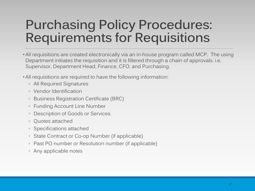#### **Purchasing Policy Procedures: Requirements for Requisitions**

• All requisitions are created electronically via an in-house program called MCP. The using Department initiates the requisition and it is filtered through a chain of approvals. i.e. Supervisor, Department Head, Finance, CFO, and Purchasing.

- All requisitions are required to have the following information:
	- All Required Signatures
	- Vendor Identification
	- Business Registration Certificate (BRC)
	- Funding Account Line Number
	- Description of Goods or Services
	- Quotes attached
	- Specifications attached
	- State Contract or Co-op Number (if applicable)
	- Past PO number or Resolution number (if applicable)
	- Any applicable notes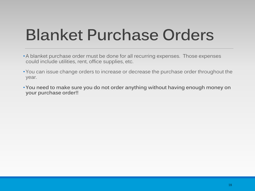## **Blanket Purchase Orders**

- A blanket purchase order must be done for all recurring expenses. Those expenses could include utilities, rent, office supplies, etc.
- You can issue change orders to increase or decrease the purchase order throughout the year.
- **You need to make sure you do not order anything without having enough money on your purchase order!!**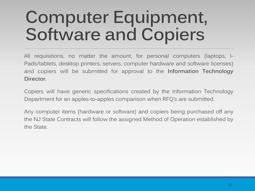## **Computer Equipment, Software and Copiers**

All requisitions, no matter the amount, for personal computers (laptops, I-Pads/tablets, desktop printers, servers, computer hardware and software licenses) and copiers will be submitted for approval to the **Information Technology Director**.

Copiers will have generic specifications created by the Information Technology Department for an apples-to-apples comparison when RFQ's are submitted.

Any computer items (hardware or software) and copiers being purchased off any the NJ State Contracts will follow the assigned Method of Operation established by the State.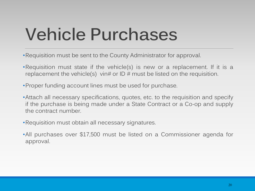## **Vehicle Purchases**

- •Requisition must be sent to the County Administrator for approval.
- •Requisition must state if the vehicle(s) is new or a replacement. If it is a replacement the vehicle(s) vin# or ID # must be listed on the requisition.
- •Proper funding account lines must be used for purchase.
- •Attach all necessary specifications, quotes, etc. to the requisition and specify if the purchase is being made under a State Contract or a Co-op and supply the contract number.
- •Requisition must obtain all necessary signatures.
- •All purchases over \$17,500 must be listed on a Commissioner agenda for approval.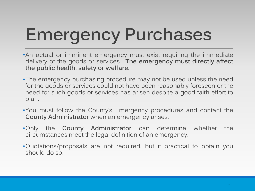# **Emergency Purchases**

- •An actual or imminent emergency must exist requiring the immediate delivery of the goods or services. **The emergency must directly affect the public health, safety or welfare**.
- •The emergency purchasing procedure may not be used unless the need for the goods or services could not have been reasonably foreseen or the need for such goods or services has arisen despite a good faith effort to plan.
- •You must follow the County's Emergency procedures and contact the **County Administrator** when an emergency arises.
- •Only the **County Administrator** can determine whether the circumstances meet the legal definition of an emergency.
- •Quotations/proposals are not required, but if practical to obtain you should do so.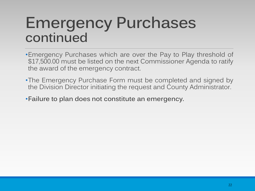### **Emergency Purchases continued**

- •Emergency Purchases which are over the Pay to Play threshold of \$17,500.00 must be listed on the next Commissioner Agenda to ratify the award of the emergency contract.
- •The Emergency Purchase Form must be completed and signed by the Division Director initiating the request and County Administrator.

•**Failure to plan does not constitute an emergency.**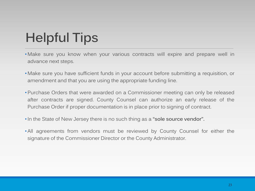### **Helpful Tips**

- Make sure you know when your various contracts will expire and prepare well in advance next steps.
- Make sure you have sufficient funds in your account before submitting a requisition, or amendment and that you are using the appropriate funding line.
- Purchase Orders that were awarded on a Commissioner meeting can only be released after contracts are signed. County Counsel can authorize an early release of the Purchase Order if proper documentation is in place prior to signing of contract.
- •In the State of New Jersey there is no such thing as a **"sole source vendor".**
- All agreements from vendors must be reviewed by County Counsel for either the signature of the Commissioner Director or the County Administrator.